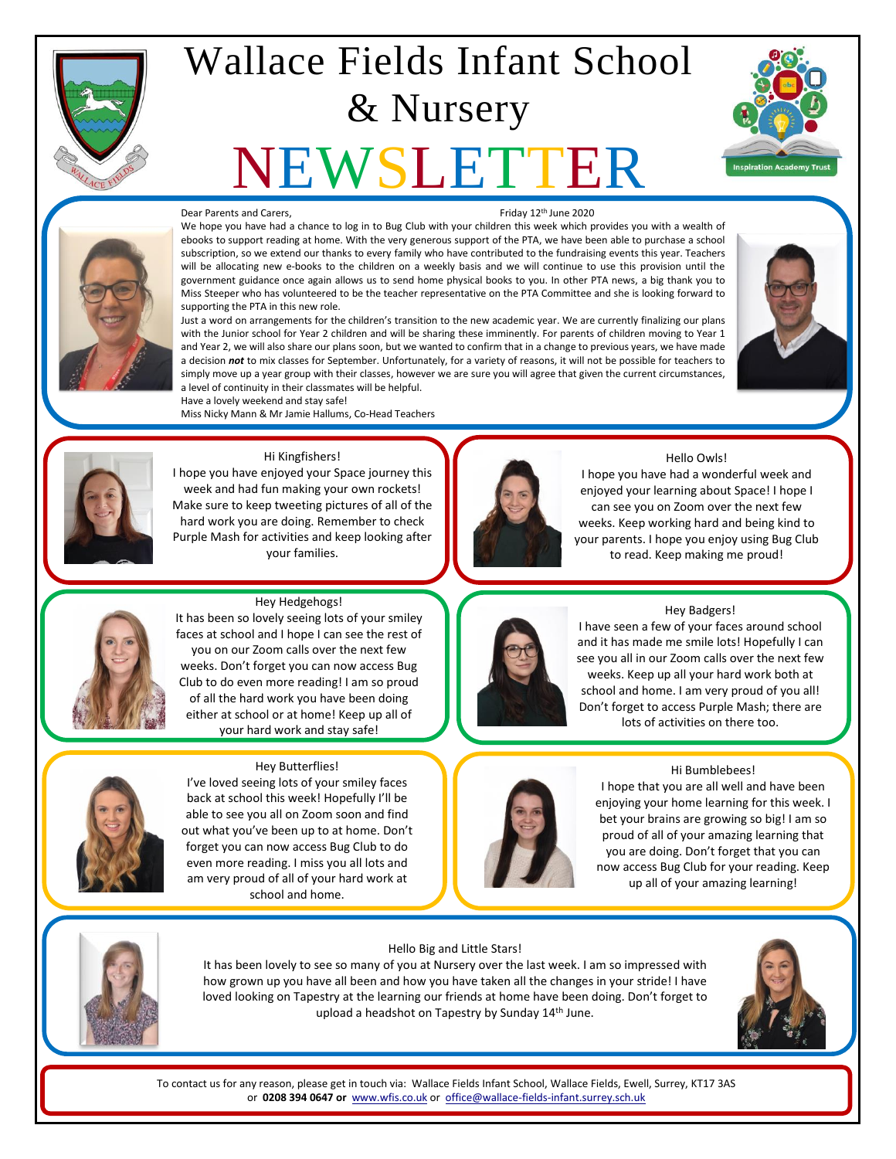

## Wallace Fields Infant School & Nursery

# EWSLI





#### Dear Parents and Carers. The contract of the CO20 of the Parents and Carers, Friday 12th June 2020

We hope you have had a chance to log in to Bug Club with your children this week which provides you with a wealth of ebooks to support reading at home. With the very generous support of the PTA, we have been able to purchase a school subscription, so we extend our thanks to every family who have contributed to the fundraising events this year. Teachers will be allocating new e-books to the children on a weekly basis and we will continue to use this provision until the government guidance once again allows us to send home physical books to you. In other PTA news, a big thank you to Miss Steeper who has volunteered to be the teacher representative on the PTA Committee and she is looking forward to supporting the PTA in this new role.

Just a word on arrangements for the children's transition to the new academic year. We are currently finalizing our plans with the Junior school for Year 2 children and will be sharing these imminently. For parents of children moving to Year 1 and Year 2, we will also share our plans soon, but we wanted to confirm that in a change to previous years, we have made a decision *not* to mix classes for September. Unfortunately, for a variety of reasons, it will not be possible for teachers to simply move up a year group with their classes, however we are sure you will agree that given the current circumstances, a level of continuity in their classmates will be helpful. Have a lovely weekend and stay safe!





#### Hi Kingfishers!

Miss Nicky Mann & Mr Jamie Hallums, Co-Head Teachers

I hope you have enjoyed your Space journey this week and had fun making your own rockets! Make sure to keep tweeting pictures of all of the hard work you are doing. Remember to check Purple Mash for activities and keep looking after your families.



#### Hello Owls!

I hope you have had a wonderful week and enjoyed your learning about Space! I hope I can see you on Zoom over the next few weeks. Keep working hard and being kind to your parents. I hope you enjoy using Bug Club to read. Keep making me proud!



#### Hey Hedgehogs!

It has been so lovely seeing lots of your smiley faces at school and I hope I can see the rest of you on our Zoom calls over the next few weeks. Don't forget you can now access Bug Club to do even more reading! I am so proud of all the hard work you have been doing either at school or at home! Keep up all of your hard work and stay safe!



#### Hey Butterflies!

I've loved seeing lots of your smiley faces back at school this week! Hopefully I'll be able to see you all on Zoom soon and find out what you've been up to at home. Don't forget you can now access Bug Club to do even more reading. I miss you all lots and am very proud of all of your hard work at school and home.



#### Hey Badgers!

I have seen a few of your faces around school and it has made me smile lots! Hopefully I can see you all in our Zoom calls over the next few weeks. Keep up all your hard work both at school and home. I am very proud of you all! Don't forget to access Purple Mash; there are lots of activities on there too.

#### Hi Bumblebees!

I hope that you are all well and have been enjoying your home learning for this week. I bet your brains are growing so big! I am so proud of all of your amazing learning that you are doing. Don't forget that you can now access Bug Club for your reading. Keep up all of your amazing learning!



#### Hello Big and Little Stars!

It has been lovely to see so many of you at Nursery over the last week. I am so impressed with how grown up you have all been and how you have taken all the changes in your stride! I have loved looking on Tapestry at the learning our friends at home have been doing. Don't forget to upload a headshot on Tapestry by Sunday 14<sup>th</sup> June.

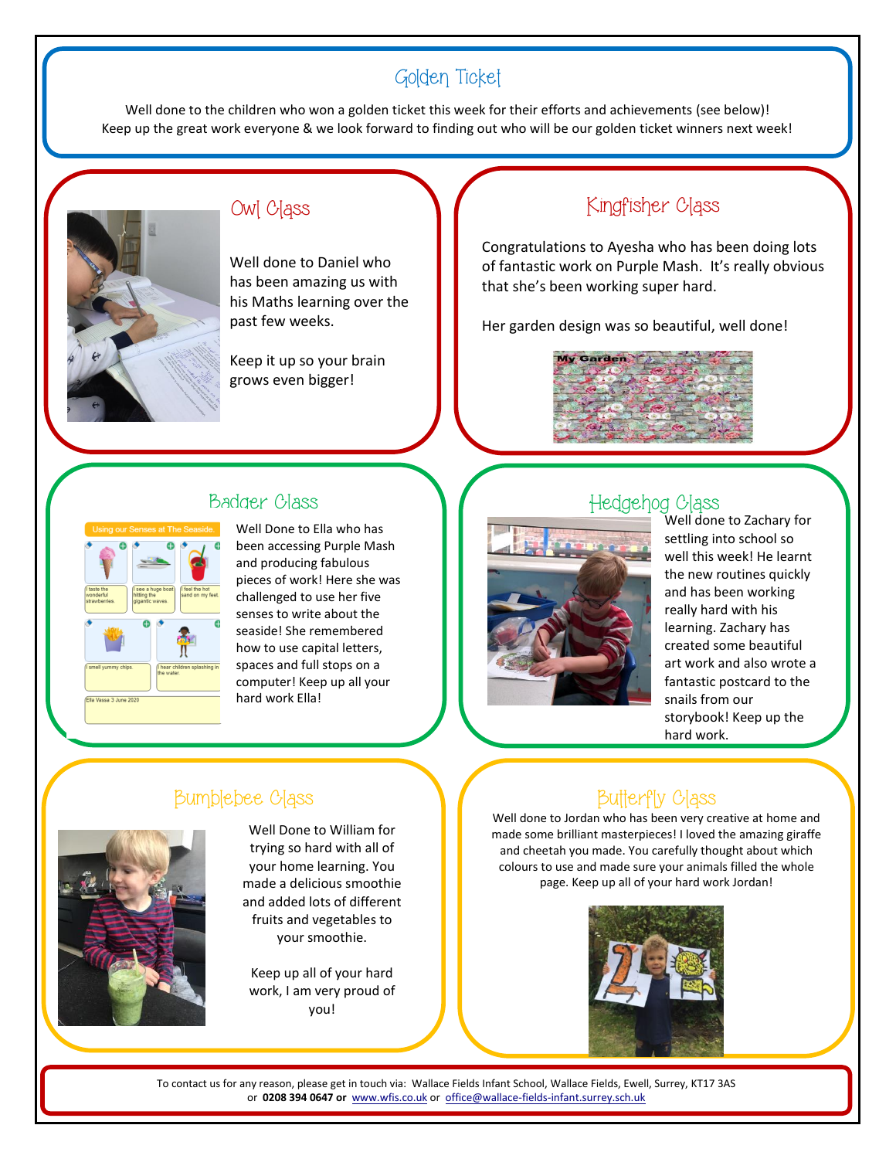## Golden Ticket

Well done to the children who won a golden ticket this week for their efforts and achievements (see below)! Keep up the great work everyone & we look forward to finding out who will be our golden ticket winners next week!



## Owl Class

Well done to Daniel who has been amazing us with his Maths learning over the past few weeks.

Keep it up so your brain grows even bigger!

## Kingfisher Class

Congratulations to Ayesha who has been doing lots of fantastic work on Purple Mash. It's really obvious that she's been working super hard.

Her garden design was so beautiful, well done!



### Badger Class



Well Done to Ella who has been accessing Purple Mash and producing fabulous pieces of work! Here she was challenged to use her five senses to write about the seaside! She remembered how to use capital letters, spaces and full stops on a computer! Keep up all your hard work Ella!

## Hedgehog Class



Well done to Zachary for settling into school so well this week! He learnt the new routines quickly and has been working really hard with his learning. Zachary has created some beautiful art work and also wrote a fantastic postcard to the snails from our storybook! Keep up the hard work.

## Bumblebee Class



Well Done to William for trying so hard with all of your home learning. You made a delicious smoothie and added lots of different fruits and vegetables to your smoothie.

Keep up all of your hard work, I am very proud of you!

## **Butterfly Class**

Well done to Jordan who has been very creative at home and made some brilliant masterpieces! I loved the amazing giraffe and cheetah you made. You carefully thought about which colours to use and made sure your animals filled the whole page. Keep up all of your hard work Jordan!

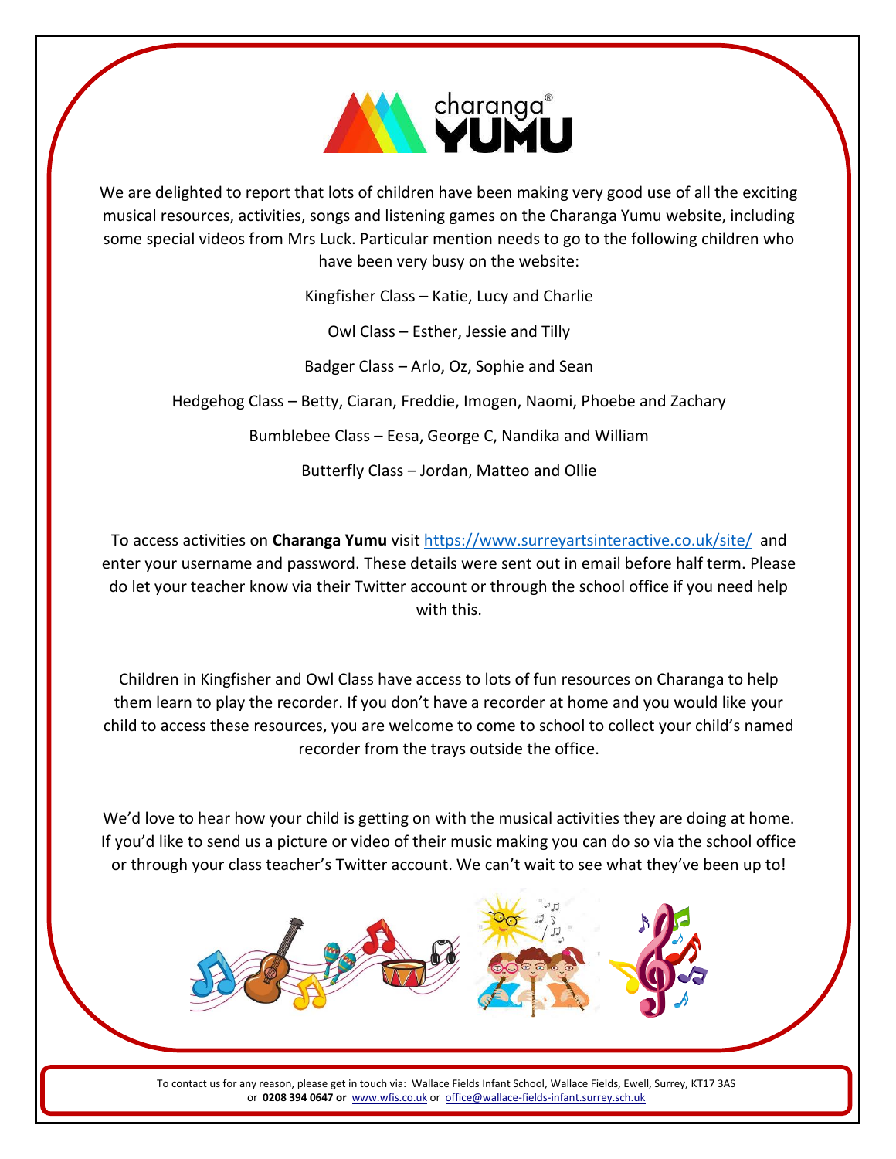

We are delighted to report that lots of children have been making very good use of all the exciting musical resources, activities, songs and listening games on the Charanga Yumu website, including some special videos from Mrs Luck. Particular mention needs to go to the following children who have been very busy on the website:

Kingfisher Class – Katie, Lucy and Charlie

Owl Class – Esther, Jessie and Tilly

Badger Class – Arlo, Oz, Sophie and Sean

Hedgehog Class – Betty, Ciaran, Freddie, Imogen, Naomi, Phoebe and Zachary

Bumblebee Class – Eesa, George C, Nandika and William

Butterfly Class – Jordan, Matteo and Ollie

To access activities on **Charanga Yumu** visit<https://www.surreyartsinteractive.co.uk/site/>and enter your username and password. These details were sent out in email before half term. Please do let your teacher know via their Twitter account or through the school office if you need help with this.

Children in Kingfisher and Owl Class have access to lots of fun resources on Charanga to help them learn to play the recorder. If you don't have a recorder at home and you would like your child to access these resources, you are welcome to come to school to collect your child's named recorder from the trays outside the office.

We'd love to hear how your child is getting on with the musical activities they are doing at home. If you'd like to send us a picture or video of their music making you can do so via the school office or through your class teacher's Twitter account. We can't wait to see what they've been up to!